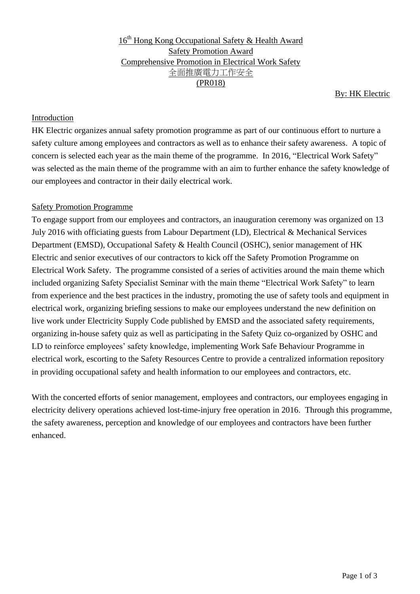16<sup>th</sup> Hong Kong Occupational Safety & Health Award Safety Promotion Award Comprehensive Promotion in Electrical Work Safety 全面推廣電力工作安全 (PR018)

By: HK Electric

### Introduction

HK Electric organizes annual safety promotion programme as part of our continuous effort to nurture a safety culture among employees and contractors as well as to enhance their safety awareness. A topic of concern is selected each year as the main theme of the programme. In 2016, "Electrical Work Safety" was selected as the main theme of the programme with an aim to further enhance the safety knowledge of our employees and contractor in their daily electrical work.

### Safety Promotion Programme

To engage support from our employees and contractors, an inauguration ceremony was organized on 13 July 2016 with officiating guests from Labour Department (LD), Electrical & Mechanical Services Department (EMSD), Occupational Safety & Health Council (OSHC), senior management of HK Electric and senior executives of our contractors to kick off the Safety Promotion Programme on Electrical Work Safety. The programme consisted of a series of activities around the main theme which included organizing Safety Specialist Seminar with the main theme "Electrical Work Safety" to learn from experience and the best practices in the industry, promoting the use of safety tools and equipment in electrical work, organizing briefing sessions to make our employees understand the new definition on live work under Electricity Supply Code published by EMSD and the associated safety requirements, organizing in-house safety quiz as well as participating in the Safety Quiz co-organized by OSHC and LD to reinforce employees' safety knowledge, implementing Work Safe Behaviour Programme in electrical work, escorting to the Safety Resources Centre to provide a centralized information repository in providing occupational safety and health information to our employees and contractors, etc.

With the concerted efforts of senior management, employees and contractors, our employees engaging in electricity delivery operations achieved lost-time-injury free operation in 2016. Through this programme, the safety awareness, perception and knowledge of our employees and contractors have been further enhanced.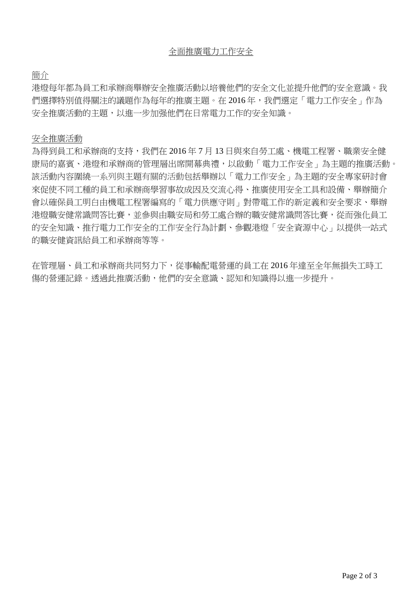簡介

港燈每年都為員工和承辦商舉辦安全推廣活動以培養他們的安全文化並提升他們的安全意識。我 們選擇特別值得關注的議題作為每年的推廣主題。在 2016 年,我們選定「電力工作安全」作為 安全推廣活動的主題,以進一步加强他們在日常電力工作的安全知識。

### 安全推廣活動

為得到員工和承辦商的支持,我們在 2016 年 7 月 13 日與來自勞工處、機電工程署、職業安全健 康局的嘉賓、港燈和承辦商的管理層出席開幕典禮,以啟動「電力工作安全」為主題的推廣活動。 該活動內容圍繞一系列與主題有關的活動包括舉辦以「電力工作安全」為主題的安全專家研討會 來促使不同工種的員工和承辦商學習事故成因及交流心得、推廣使用安全工具和設備、舉辦簡介 會以確保員工明白由機電工程署編寫的「電力供應守則」對帶電工作的新定義和安全要求、舉辦 港燈職安健常識問答比賽,並參與由職安局和勞工處合辦的職安健常識問答比賽,從而強化員工 的安全知識、推行電力工作安全的工作安全行為計劃、參觀港燈「安全資源中心」以提供一站式 的職安健資訊給員工和承辦商等等。

在管理層、員工和承辦商共同努力下,從事輸配電營運的員工在 2016 年達至全年無損失工時工 傷的營運記錄。透過此推廣活動,他們的安全意識、認知和知識得以進一步提升。